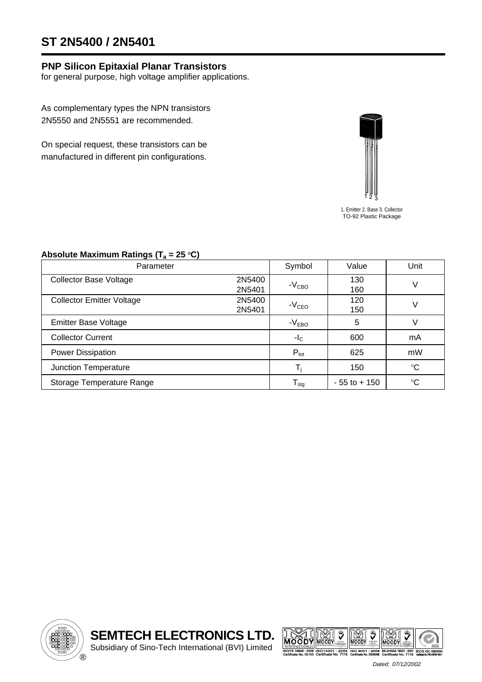# **ST 2N5400 / 2N5401**

### **PNP Silicon Epitaxial Planar Transistors**

for general purpose, high voltage amplifier applications.

As complementary types the NPN transistors 2N5550 and 2N5551 are recommended.

On special request, these transistors can be manufactured in different pin configurations.



1. Emitter 2. Base 3. Collector TO-92 Plastic Package

#### Absolute Maximum Ratings (T<sub>a</sub> = 25 °C)

| Parameter                        |        | Symbol                     | Value           | Unit            |  |
|----------------------------------|--------|----------------------------|-----------------|-----------------|--|
| <b>Collector Base Voltage</b>    | 2N5400 | $-VCBO$                    | 130             | V               |  |
|                                  | 2N5401 |                            | 160             |                 |  |
| <b>Collector Emitter Voltage</b> | 2N5400 |                            | 120             |                 |  |
|                                  | 2N5401 | $-VCEO$                    | 150             | V               |  |
| <b>Emitter Base Voltage</b>      |        | $-VEBO$                    | 5               | V               |  |
| <b>Collector Current</b>         |        | $-IC$                      | 600             | mA              |  |
| Power Dissipation                |        | $P_{\text{tot}}$           | 625             | mW              |  |
| Junction Temperature             |        | T,                         | 150             | $\rm ^{\circ}C$ |  |
| Storage Temperature Range        |        | ${\mathsf T}_{\text{stg}}$ | $-55$ to $+150$ | $\rm ^{\circ}C$ |  |





 *Dated: 07/12/2002*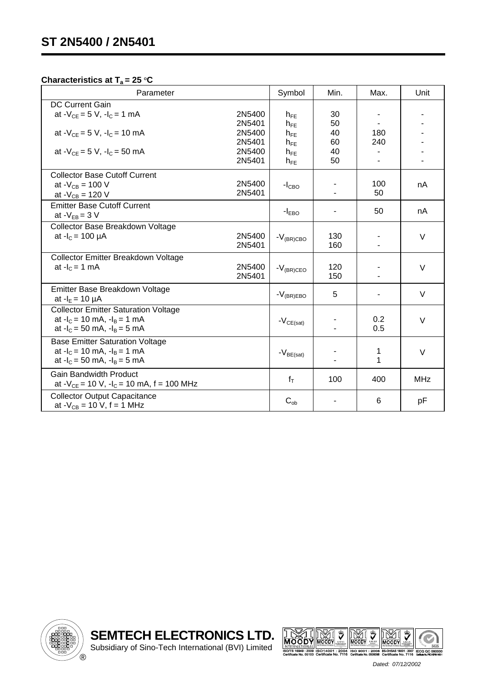#### **Characteristics at**  $T_a = 25 \degree C$

| Parameter                                                                                                           | Symbol               | Min.       | Max.       | Unit       |
|---------------------------------------------------------------------------------------------------------------------|----------------------|------------|------------|------------|
| <b>DC Current Gain</b><br>at $-V_{CE} = 5 V$ , $-I_C = 1 mA$<br>2N5400<br>2N5401                                    | $h_{FE}$<br>$h_{FE}$ | 30<br>50   |            |            |
| 2N5400<br>at $-V_{CF} = 5 V$ , $-I_C = 10 mA$<br>2N5401                                                             | $h_{FE}$<br>$h_{FE}$ | 40<br>60   | 180<br>240 |            |
| at $-V_{CF} = 5 V$ , $-I_C = 50$ mA<br>2N5400<br>2N5401                                                             | $h_{FE}$<br>$h_{FE}$ | 40<br>50   |            |            |
| <b>Collector Base Cutoff Current</b><br>2N5400<br>at - $V_{CB}$ = 100 V<br>2N5401<br>at - $V_{CB}$ = 120 V          | $-ICBO$              |            | 100<br>50  | nA         |
| <b>Emitter Base Cutoff Current</b><br>at $-V_{EB} = 3 V$                                                            | $-IEBO$              |            | 50         | nA         |
| Collector Base Breakdown Voltage<br>at $-I_c = 100 \mu A$<br>2N5400<br>2N5401                                       | $-V_{\rm (BR) CBO}$  | 130<br>160 | ۰          | $\vee$     |
| Collector Emitter Breakdown Voltage<br>2N5400<br>at $-IC = 1$ mA<br>2N5401                                          | $-V_{(BR)CEO}$       | 120<br>150 |            | $\vee$     |
| Emitter Base Breakdown Voltage<br>at $-I_E = 10 \mu A$                                                              | $-V_{(BR)EBO}$       | 5          |            | $\vee$     |
| <b>Collector Emitter Saturation Voltage</b><br>at $-I_c = 10$ mA, $-I_B = 1$ mA<br>at $-I_c = 50$ mA, $-I_B = 5$ mA | $-V_{CE(sat)}$       |            | 0.2<br>0.5 | $\vee$     |
| <b>Base Emitter Saturation Voltage</b><br>at $-I_c = 10$ mA, $-I_B = 1$ mA<br>at $-I_c = 50$ mA, $-I_B = 5$ mA      | $-V_{BE(sat)}$       |            | 1<br>1     | $\vee$     |
| <b>Gain Bandwidth Product</b><br>at $-V_{CE} = 10 V$ , $-I_C = 10 mA$ , f = 100 MHz                                 | $f_T$                | 100        | 400        | <b>MHz</b> |
| <b>Collector Output Capacitance</b><br>at $-V_{CB} = 10 V$ , f = 1 MHz                                              | $C_{ob}$             |            | 6          | pF         |





 *Dated: 07/12/2002*